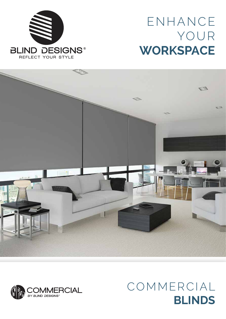

# ENHANCE YOUR **WORKSPACE**





## COMMERCIAL **BLINDS**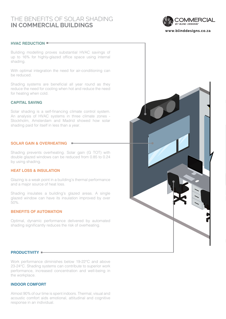## THE BENEFITS OF SOLAR SHADING **IN COMMERCIAL BUILDINGS**



#### **HVAC REDUCTION**

Building modelling proves substantial HVAC savings of up to 16% for highly-glazed office space using internal shading.

With optimal integration the need for air-conditioning can be reduced.

Shading systems are beneficial all year round as they reduce the need for cooling when hot and reduce the need for heating when cold.

#### **CAPITAL SAVING**

Solar shading is a self-financing climate control system. An analysis of HVAC systems in three climate zones - Stockholm, Amsterdam and Madrid showed how solar shading paid for itself in less than a year.

#### **SOLAR GAIN & OVERHEATING**

Shading prevents overheating. Solar gain (G TOT) with double glazed windows can be reduced from 0.85 to 0.24 by using shading.

#### **HEAT LOSS & INSULATION**

Glazing is a weak point in a building's thermal performance and a major source of heat loss.

Shading insulates a building's glazed areas. A single glazed window can have its insulation improved by over 50%.

#### **BENEFITS OF AUTOMATION**

Optimal, dynamic performance delivered by automated shading significantly reduces the risk of overheating.



#### **PRODUCTIVITY**

Work performance diminishes below 19-22°C and above 23-24°C. Shading systems can contribute to superior work performance, increased concentration and well-being in the workplace.

#### **INDOOR COMFORT**

Almost 90% of our time is spent indoors. Thermal, visual and acoustic comfort aids emotional, attitudinal and cognitive response in an individual.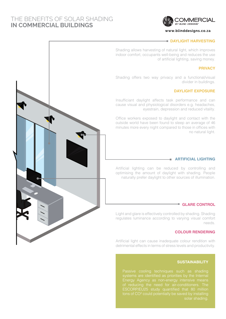## THE BENEFITS OF SOLAR SHADING **IN COMMERCIAL BUILDINGS**



#### **www.blinddesigns.co.za**

#### **DAYLIGHT HARVESTING**

Shading allows harvesting of natural light, which improves indoor comfort, occupants well-being and reduces the use of artificial lighting, saving money.

#### **PRIVACY**

Shading offers two way privacy and a functional/visual divider in buildings.

#### **DAYLIGHT EXPOSURE**

Insufficiant daylight affects task performance and can cause visual and physiological disorders e.g. headaches, eyestrain, depression and reduced vitality.

Office workers exposed to daylight and contact with the outside world have been found to sleep an average of 46 minutes more every night compared to those in offices with no natural light.

#### **ARTIFICIAL LIGHTING**

Artificial lighting can be reduced by controlling and optimising the amount of daylight with shading. People naturally prefer daylight to other sources of illumination.

#### **GLARE CONTROL**

Light and glare is effectively controlled by shading. Shading regulates luminance according to varying visual comfort needs.

#### **COLOUR RENDERING**

Artificial light can cause inadequate colour rendition with detrimental effects in terms of stress levels and productivity.

#### **SUSTAINABILITY**

Passive cooling techniques such as shading Energy Agency as non-energy intensive means ESCORP/EU25 study quantified that 80 million tons of CO² could potentially be saved by installing

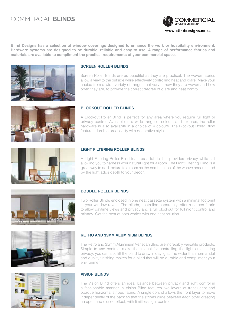## COMMERCIAL **BLINDS**



**Blind Designs has a selection of window coverings designed to enhance the work or hospitality environment. Hardware systems are designed to be durable, reliable and easy to use. A range of performance fabrics and materials are available to compliment the practical requirements of your commercial space.**



#### **SCREEN ROLLER BLINDS**

Screen Roller Blinds are as beautiful as they are practical. The woven fabrics allow a view to the outside while effectively controlling heat and glare. Make your choice from a wide variety of ranges that vary in how they are woven and how open they are, to provide the correct degree of glare and heat control.



#### **BLOCKOUT ROLLER BLINDS**

A Blockout Roller Blind is perfect for any area where you require full light or privacy control. Available in a wide range of colours and textures, the roller hardware is also available in a choice of 4 colours. The Blockout Roller Blind features durable practicality with decorative style.



#### **LIGHT FILTERING ROLLER BLINDS**

A Light Filtering Roller Blind features a fabric that provides privacy while still allowing you to harness your natural light for a room. The Light Filtering Blind is a great way to add texture to a room as the combination of the weave accentuated by the light adds depth to your décor.



#### **DOUBLE ROLLER BLINDS**

Two Roller Blinds enclosed in one neat cassette system with a minimal footprint in your window reveal. The blinds, controlled separately, offer a screen fabric to allow daytime views and privacy and a full blockout for full night control and privacy. Get the best of both worlds with one neat solution.





#### **RETRO AND 35MM ALUMINIUM BLINDS**

The Retro and 35mm Aluminium Venetian Blind are incredibly versatile products. Simple to use controls make them ideal for controlling the light or ensuring privacy, you can also lift the blind to draw in daylight. The wider than normal slat and quality finishing makes for a blind that will be durable and compliment your environment.

#### **VISION BLINDS**

The Vision Blind offers an ideal balance between privacy and light control in a fashionable manner. A Vision Blind features two layers of translucent and opaque horizontal striped fabric. A single control allows the front layer to move independently of the back so that the stripes glide between each other creating an open and closed effect, with limitless light control.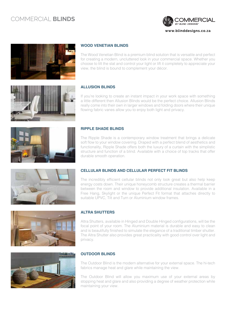## COMMERCIAL **BLINDS**





#### **WOOD VENETIAN BLINDS**

The Wood Venetian Blind is a premium blind solution that is versatile and perfect for creating a modern, uncluttered look in your commercial space. Whether you choose to tilt the slat and control your light or lift it completely to appreciate your view, the blind is bound to complement your décor.

### **ALLUSION BLINDS**

If you're looking to create an instant impact in your work space with something a little different then Allusion Blinds would be the perfect choice. Allusion Blinds really come into their own in larger windows and folding doors where their unique flowing fabric vanes allow you to enjoy both light and privacy.



#### **RIPPLE SHADE BLINDS**

The Ripple Shade is a contemporary window treatment that brings a delicate soft flow to your window covering. Draped with a perfect blend of aesthetics and functionality, Ripple Shade offers both the luxury of a curtain with the simplistic structure and function of a blind. Available with a choice of top tracks that offer durable smooth operation.

The incredibly efficient cellular blinds not only look great but also help keep energy costs down. Their unique honeycomb structure creates a thermal barrier between the room and window to provide additional insulation. Available in a Free Hang, Skylight or the unique Perfect Fit format that attaches directly to

**CELLULAR BLINDS AND CELLULAR PERFECT FIT BLINDS**

suitable UPVC, Tilt and Turn or Aluminium window frames.







#### **ALTRA SHUTTERS**

Altra Shutters, available in Hinged and Double Hinged configurations, will be the focal point of your room. The Aluminium material is durable and easy to clean and is beautifully finished to simulate the elegance of a traditional timber shutter. The Altra Shutter also provides great practicality with good control over light and privacy.

#### **OUTDOOR BLINDS**

The Outdoor Blind is the modern alternative for your external space. The hi-tech fabrics manage heat and glare while maintaining the view.

The Outdoor Blind will allow you maximum use of your external areas by stopping heat and glare and also providing a degree of weather protection while maintaining your view.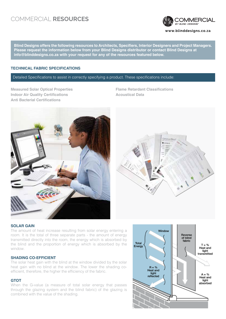## COMMERCIAL **RESOURCES**



**Blind Designs offers the following resources to Architects, Specifiers, Interior Designers and Project Managers. Please request the information below from your Blind Designs distributor or contact Blind Designs at** 

#### **TECHNICAL FABRIC SPECIFICATIONS**

#### Detailed Specifications to assist in correctly specifying a product. These specifications include:

**info@blinddesigns.co.za with your request for any of the resources featured below.**

**Measured Solar Optical Properties Indoor Air Quality Certifications Anti Bacterial Certifications**

**Flame Retardant Classifications Acoustical Data**





#### **SOLAR GAIN**

The amount of heat increase resulting from solar energy entering a room. It is the total of three separate parts - the amount of energy transmitted directly into the room, the energy which is absorbed by the blind and the proportion of energy which is absorbed by the window.

#### **SHADING CO-EFFICIENT**

The solar heat gain with the blind at the window divided by the solar heat gain with no blind at the window. The lower the shading coefficient, therefore, the higher the efficiency of the fabric.

#### **GTOT**

When the G-value (a measure of total solar energy that passes through the glazing system and the blind fabric) of the glazing is combined with the value of the shading.

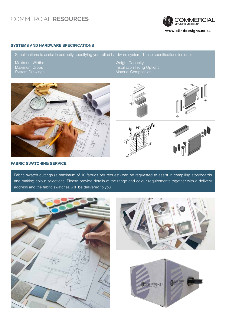## COMMERCIAL **RESOURCES**



#### **SYSTEMS AND HARDWARE SPECIFICATIONS**

Specifications to assist in correctly specifying your blind hardware system. These specifications include:

Maximum Widths Maximum Drops System Drawings Weight Capacity Installation Fixing Options Material Composition



#### **FABRIC SWATCHING SERVICE**

Fabric swatch cuttings (a maximum of 10 fabrics per request) can be requested to assist in compiling storyboards and making colour selections. Please provide details of the range and colour requirements together with a delivery address and the fabric swatches will be delivered to you.